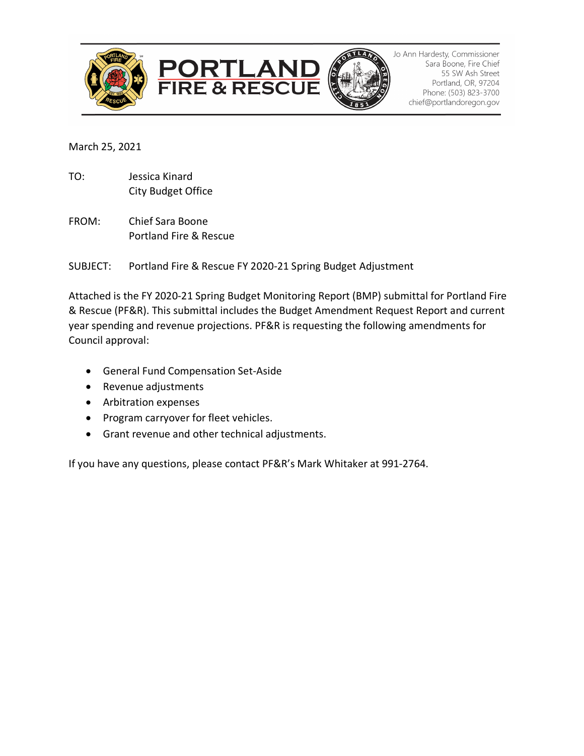





Jo Ann Hardesty, Commissioner Sara Boone, Fire Chief 55 SW Ash Street Portland, OR, 97204 Phone: (503) 823-3700 chief@portlandoregon.gov

March 25, 2021

- TO: Jessica Kinard City Budget Office
- FROM: Chief Sara Boone Portland Fire & Rescue

SUBJECT: Portland Fire & Rescue FY 2020-21 Spring Budget Adjustment

Attached is the FY 2020-21 Spring Budget Monitoring Report (BMP) submittal for Portland Fire & Rescue (PF&R). This submittal includes the Budget Amendment Request Report and current year spending and revenue projections. PF&R is requesting the following amendments for Council approval:

- General Fund Compensation Set-Aside
- Revenue adjustments
- Arbitration expenses
- Program carryover for fleet vehicles.
- Grant revenue and other technical adjustments.

If you have any questions, please contact PF&R's Mark Whitaker at 991-2764.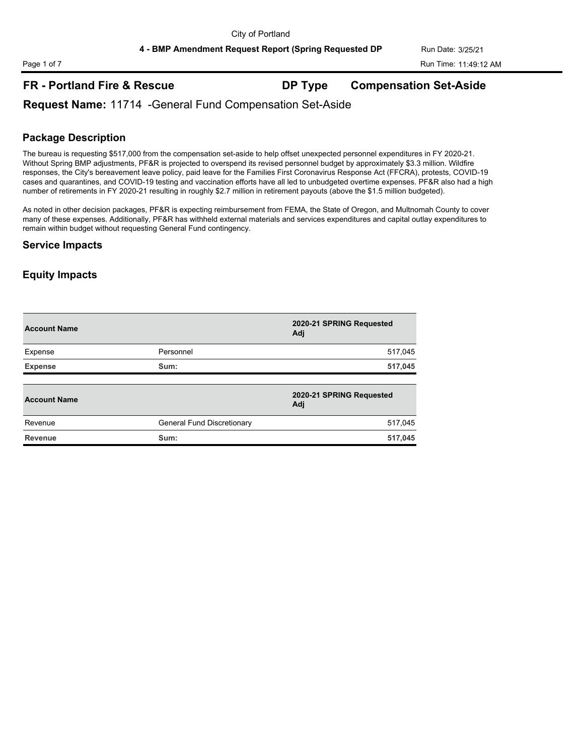## **FR - Portland Fire & Rescue DP Type Compensation Set-Aside**

## **Request Name:** 11714 -General Fund Compensation Set-Aside

### **Package Description**

The bureau is requesting \$517,000 from the compensation set-aside to help offset unexpected personnel expenditures in FY 2020-21. Without Spring BMP adjustments, PF&R is projected to overspend its revised personnel budget by approximately \$3.3 million. Wildfire responses, the City's bereavement leave policy, paid leave for the Families First Coronavirus Response Act (FFCRA), protests, COVID-19 cases and quarantines, and COVID-19 testing and vaccination efforts have all led to unbudgeted overtime expenses. PF&R also had a high number of retirements in FY 2020-21 resulting in roughly \$2.7 million in retirement payouts (above the \$1.5 million budgeted).

As noted in other decision packages, PF&R is expecting reimbursement from FEMA, the State of Oregon, and Multnomah County to cover many of these expenses. Additionally, PF&R has withheld external materials and services expenditures and capital outlay expenditures to remain within budget without requesting General Fund contingency.

#### **Service Impacts**

| <b>Account Name</b> |                            | 2020-21 SPRING Requested<br>Adi |
|---------------------|----------------------------|---------------------------------|
| Expense             | Personnel                  | 517,045                         |
| <b>Expense</b>      | Sum:                       | 517,045                         |
| <b>Account Name</b> |                            | 2020-21 SPRING Requested<br>Adj |
| Revenue             | General Fund Discretionary | 517,045                         |
| <b>Revenue</b>      | Sum:                       | 517,045                         |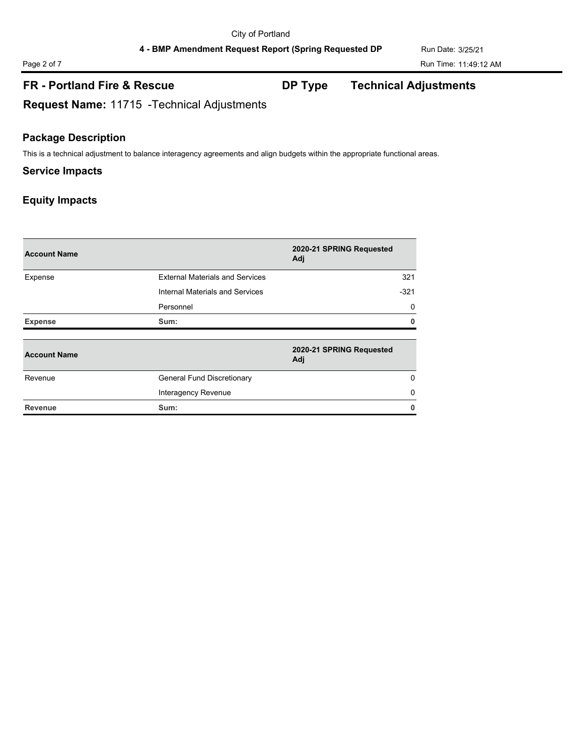## **FR - Portland Fire & Rescue DP Type Technical Adjustments**

**Request Name:** 11715 -Technical Adjustments

## **Package Description**

This is a technical adjustment to balance interagency agreements and align budgets within the appropriate functional areas.

## **Service Impacts**

| <b>Account Name</b> |                                        | 2020-21 SPRING Requested<br>Adj |
|---------------------|----------------------------------------|---------------------------------|
| Expense             | <b>External Materials and Services</b> | 321                             |
|                     | Internal Materials and Services        | $-321$                          |
|                     | Personnel                              | 0                               |
| <b>Expense</b>      | Sum:                                   | 0                               |
| <b>Account Name</b> |                                        | 2020-21 SPRING Requested<br>Adj |
| Revenue             | General Fund Discretionary             | 0                               |
|                     | Interagency Revenue                    | $\Omega$                        |
| <b>Revenue</b>      | Sum:                                   | 0                               |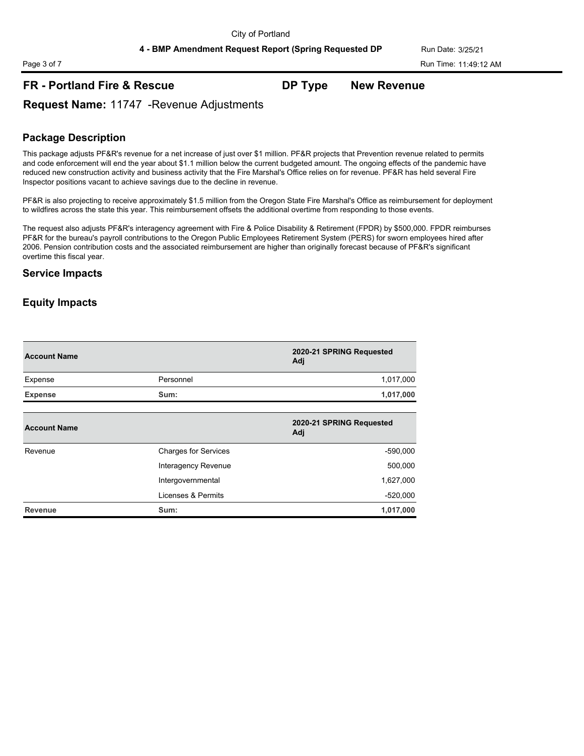## **FR - Portland Fire & Rescue DP Type New Revenue**

**Request Name:** 11747 -Revenue Adjustments

## **Package Description**

This package adjusts PF&R's revenue for a net increase of just over \$1 million. PF&R projects that Prevention revenue related to permits and code enforcement will end the year about \$1.1 million below the current budgeted amount. The ongoing effects of the pandemic have reduced new construction activity and business activity that the Fire Marshal's Office relies on for revenue. PF&R has held several Fire Inspector positions vacant to achieve savings due to the decline in revenue.

PF&R is also projecting to receive approximately \$1.5 million from the Oregon State Fire Marshal's Office as reimbursement for deployment to wildfires across the state this year. This reimbursement offsets the additional overtime from responding to those events.

The request also adjusts PF&R's interagency agreement with Fire & Police Disability & Retirement (FPDR) by \$500,000. FPDR reimburses PF&R for the bureau's payroll contributions to the Oregon Public Employees Retirement System (PERS) for sworn employees hired after 2006. Pension contribution costs and the associated reimbursement are higher than originally forecast because of PF&R's significant overtime this fiscal year.

#### **Service Impacts**

| <b>Account Name</b> |                             | 2020-21 SPRING Requested<br>Adj |
|---------------------|-----------------------------|---------------------------------|
| Expense             | Personnel                   | 1,017,000                       |
| <b>Expense</b>      | Sum:                        | 1,017,000                       |
| <b>Account Name</b> |                             | 2020-21 SPRING Requested<br>Adj |
| Revenue             | <b>Charges for Services</b> | $-590,000$                      |
|                     | Interagency Revenue         | 500,000                         |
|                     | Intergovernmental           | 1,627,000                       |
|                     | Licenses & Permits          | $-520,000$                      |
| Revenue             | Sum:                        | 1,017,000                       |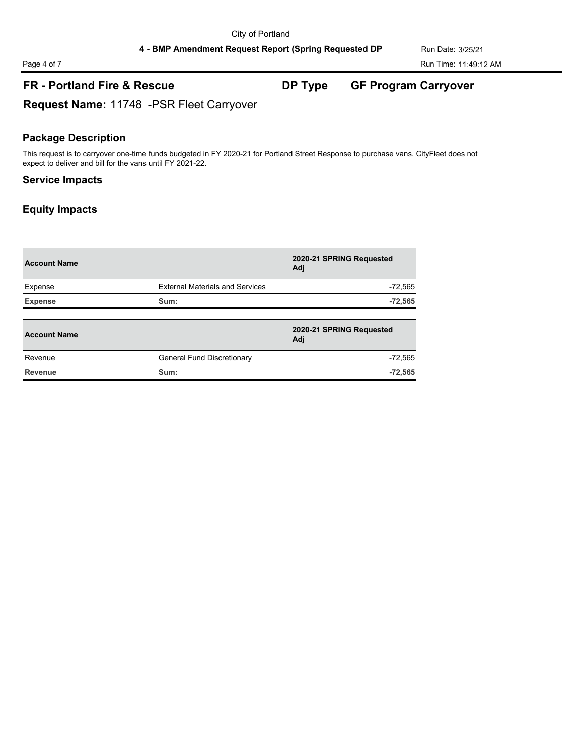# Page 4 of 7 Run Time: 11:49:12 AM

## **FR - Portland Fire & Rescue DP Type GF Program Carryover**

**Request Name:** 11748 -PSR Fleet Carryover

### **Package Description**

This request is to carryover one-time funds budgeted in FY 2020-21 for Portland Street Response to purchase vans. CityFleet does not expect to deliver and bill for the vans until FY 2021-22.

## **Service Impacts**

| <b>Account Name</b> |                                        | 2020-21 SPRING Requested<br>Adi |
|---------------------|----------------------------------------|---------------------------------|
| Expense             | <b>External Materials and Services</b> | $-72,565$                       |
| <b>Expense</b>      | Sum:                                   | $-72,565$                       |
| <b>Account Name</b> |                                        | 2020-21 SPRING Requested<br>Adj |
| Revenue             | General Fund Discretionary             | $-72,565$                       |
| Revenue             | Sum:                                   | $-72,565$                       |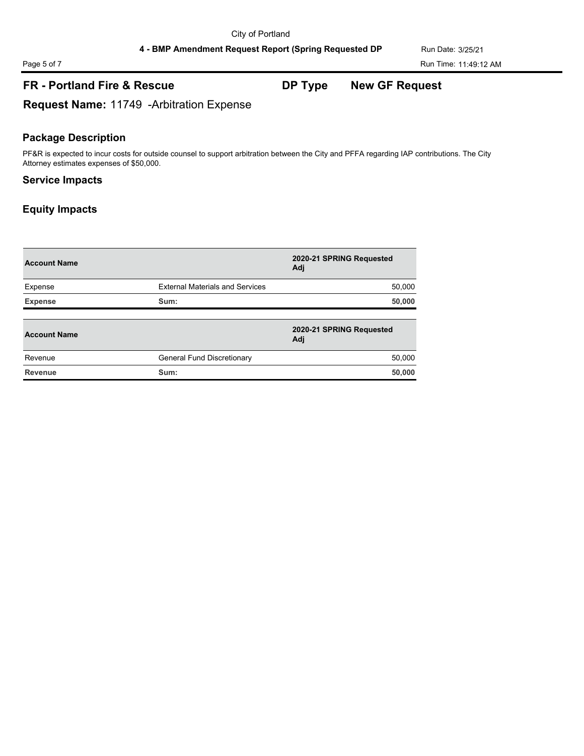# Page 5 of 7 Run Time: 11:49:12 AM

## **FR - Portland Fire & Rescue DP Type New GF Request**

**Request Name:** 11749 -Arbitration Expense

## **Package Description**

PF&R is expected to incur costs for outside counsel to support arbitration between the City and PFFA regarding IAP contributions. The City Attorney estimates expenses of \$50,000.

### **Service Impacts**

| <b>Account Name</b> |                                        | 2020-21 SPRING Requested<br>Adj |
|---------------------|----------------------------------------|---------------------------------|
| Expense             | <b>External Materials and Services</b> | 50,000                          |
| <b>Expense</b>      | Sum:                                   | 50,000                          |
| <b>Account Name</b> |                                        | 2020-21 SPRING Requested<br>Adj |
| Revenue             | General Fund Discretionary             | 50,000                          |
| Revenue             | Sum:                                   | 50,000                          |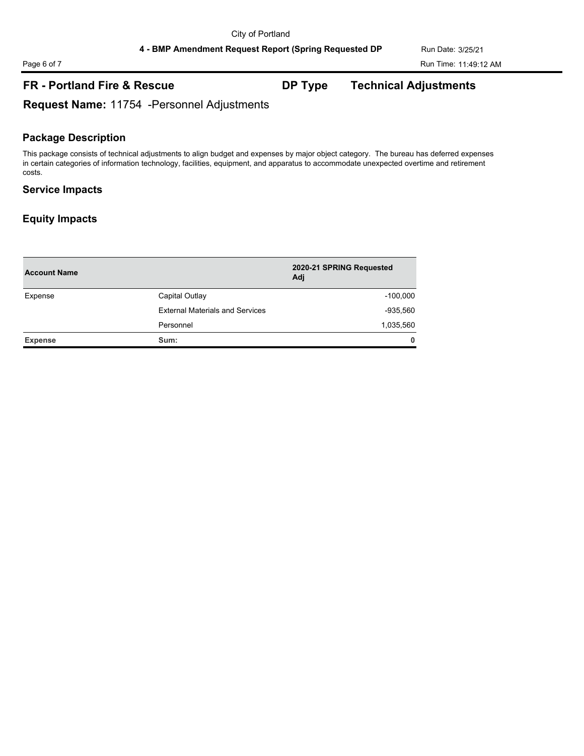## **FR - Portland Fire & Rescue DP Type Technical Adjustments**

**Request Name:** 11754 -Personnel Adjustments

## **Package Description**

This package consists of technical adjustments to align budget and expenses by major object category. The bureau has deferred expenses in certain categories of information technology, facilities, equipment, and apparatus to accommodate unexpected overtime and retirement costs.

## **Service Impacts**

| <b>Account Name</b> |                                        | 2020-21 SPRING Requested<br>Adj |
|---------------------|----------------------------------------|---------------------------------|
| Expense             | Capital Outlay                         | $-100,000$                      |
|                     | <b>External Materials and Services</b> | $-935,560$                      |
|                     | Personnel                              | 1,035,560                       |
| <b>Expense</b>      | Sum:                                   | $\mathbf{0}$                    |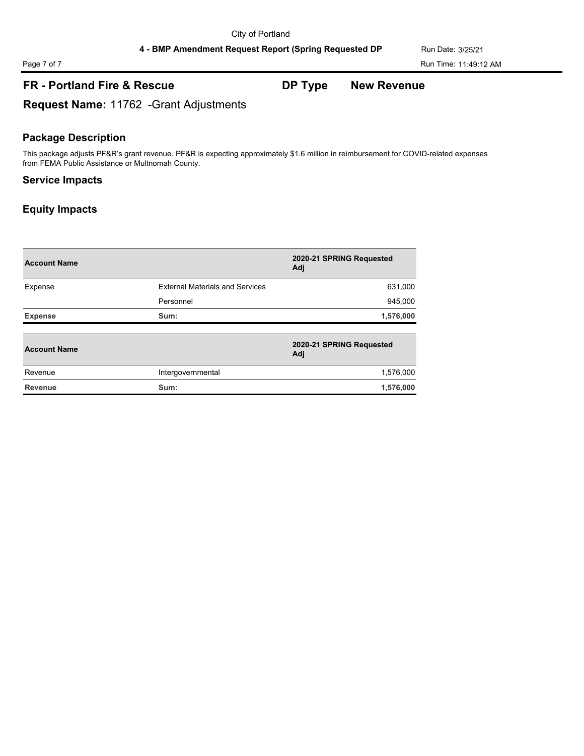## **FR - Portland Fire & Rescue DP Type New Revenue**

**Request Name:** 11762 -Grant Adjustments

## **Package Description**

This package adjusts PF&R's grant revenue. PF&R is expecting approximately \$1.6 million in reimbursement for COVID-related expenses from FEMA Public Assistance or Multnomah County.

### **Service Impacts**

| <b>Account Name</b> |                                        | 2020-21 SPRING Requested<br>Adj |
|---------------------|----------------------------------------|---------------------------------|
| Expense             | <b>External Materials and Services</b> | 631,000                         |
|                     | Personnel                              | 945,000                         |
| <b>Expense</b>      | Sum:                                   | 1,576,000                       |
| <b>Account Name</b> |                                        | 2020-21 SPRING Requested<br>Adj |
| Revenue             | Intergovernmental                      | 1,576,000                       |
| <b>Revenue</b>      | Sum:                                   | 1,576,000                       |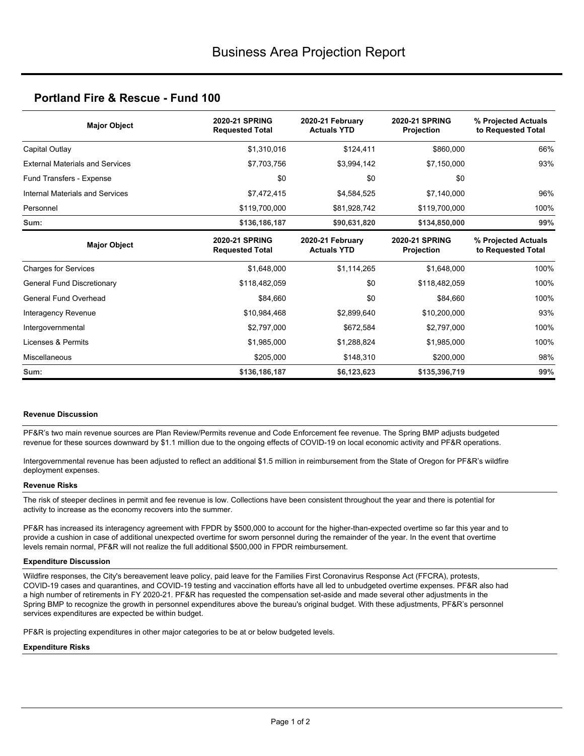## **Portland Fire & Rescue - Fund 100**

| <b>Major Object</b>                    | <b>2020-21 SPRING</b><br><b>Requested Total</b> | 2020-21 February<br><b>Actuals YTD</b> | <b>2020-21 SPRING</b><br>Projection | % Projected Actuals<br>to Requested Total |  |
|----------------------------------------|-------------------------------------------------|----------------------------------------|-------------------------------------|-------------------------------------------|--|
| Capital Outlay                         | \$1,310,016                                     | \$124.411                              | \$860,000                           | 66%                                       |  |
| <b>External Materials and Services</b> | \$7,703,756                                     | \$3,994,142                            | \$7,150,000                         | 93%                                       |  |
| Fund Transfers - Expense               | \$0                                             | \$0                                    | \$0                                 |                                           |  |
| Internal Materials and Services        | \$7,472,415                                     | \$4,584,525                            | \$7,140,000                         | 96%                                       |  |
| Personnel                              | \$119,700,000                                   | \$81,928,742                           | \$119,700,000                       | 100%                                      |  |
| Sum:                                   | \$136,186,187                                   | \$90,631,820                           | \$134,850,000                       | 99%                                       |  |
| <b>Major Object</b>                    | <b>2020-21 SPRING</b><br><b>Requested Total</b> | 2020-21 February<br><b>Actuals YTD</b> | 2020-21 SPRING<br>Projection        | % Projected Actuals<br>to Requested Total |  |
| <b>Charges for Services</b>            | \$1,648,000                                     | \$1,114,265                            | \$1,648,000                         | 100%                                      |  |
| <b>General Fund Discretionary</b>      | \$118,482,059                                   | \$0                                    | \$118,482,059                       | 100%                                      |  |
| General Fund Overhead                  | \$84.660                                        | \$0                                    | \$84,660                            | 100%                                      |  |
| Interagency Revenue                    | \$10,984,468                                    | \$2,899,640                            | \$10,200,000                        | 93%                                       |  |
| Intergovernmental                      | \$2,797,000                                     | \$672,584                              | \$2,797,000                         | 100%                                      |  |
| Licenses & Permits                     | \$1,985,000                                     | \$1,288,824                            | \$1,985,000                         | 100%                                      |  |
| <b>Miscellaneous</b>                   | \$205,000                                       | \$148,310                              | \$200,000                           | 98%                                       |  |
| Sum:                                   | \$136,186,187                                   | \$6,123,623                            | \$135,396,719                       | 99%                                       |  |

#### **Revenue Discussion**

PF&R's two main revenue sources are Plan Review/Permits revenue and Code Enforcement fee revenue. The Spring BMP adjusts budgeted revenue for these sources downward by \$1.1 million due to the ongoing effects of COVID-19 on local economic activity and PF&R operations.

Intergovernmental revenue has been adjusted to reflect an additional \$1.5 million in reimbursement from the State of Oregon for PF&R's wildfire deployment expenses.

#### **Revenue Risks**

The risk of steeper declines in permit and fee revenue is low. Collections have been consistent throughout the year and there is potential for activity to increase as the economy recovers into the summer.

PF&R has increased its interagency agreement with FPDR by \$500,000 to account for the higher-than-expected overtime so far this year and to provide a cushion in case of additional unexpected overtime for sworn personnel during the remainder of the year. In the event that overtime levels remain normal, PF&R will not realize the full additional \$500,000 in FPDR reimbursement.

#### **Expenditure Discussion**

Wildfire responses, the City's bereavement leave policy, paid leave for the Families First Coronavirus Response Act (FFCRA), protests, COVID-19 cases and quarantines, and COVID-19 testing and vaccination efforts have all led to unbudgeted overtime expenses. PF&R also had a high number of retirements in FY 2020-21. PF&R has requested the compensation set-aside and made several other adjustments in the Spring BMP to recognize the growth in personnel expenditures above the bureau's original budget. With these adjustments, PF&R's personnel services expenditures are expected be within budget.

PF&R is projecting expenditures in other major categories to be at or below budgeted levels.

#### **Expenditure Risks**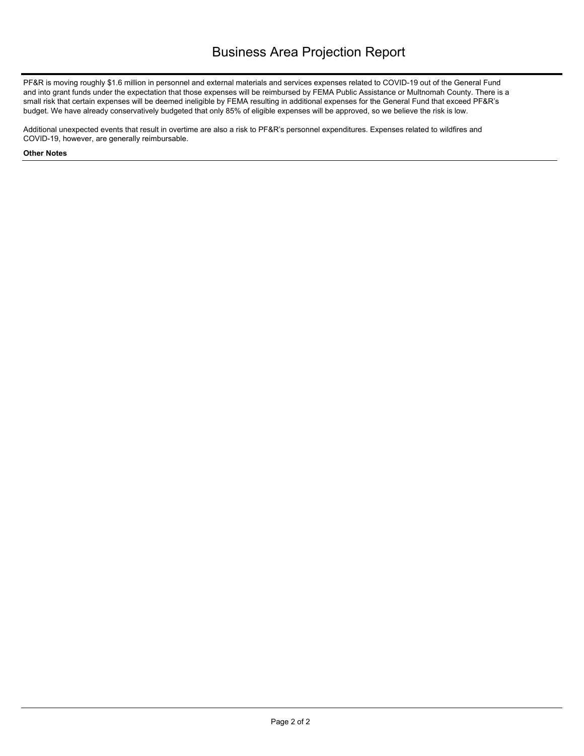PF&R is moving roughly \$1.6 million in personnel and external materials and services expenses related to COVID-19 out of the General Fund and into grant funds under the expectation that those expenses will be reimbursed by FEMA Public Assistance or Multnomah County. There is a small risk that certain expenses will be deemed ineligible by FEMA resulting in additional expenses for the General Fund that exceed PF&R's budget. We have already conservatively budgeted that only 85% of eligible expenses will be approved, so we believe the risk is low.

Additional unexpected events that result in overtime are also a risk to PF&R's personnel expenditures. Expenses related to wildfires and COVID-19, however, are generally reimbursable.

#### **Other Notes**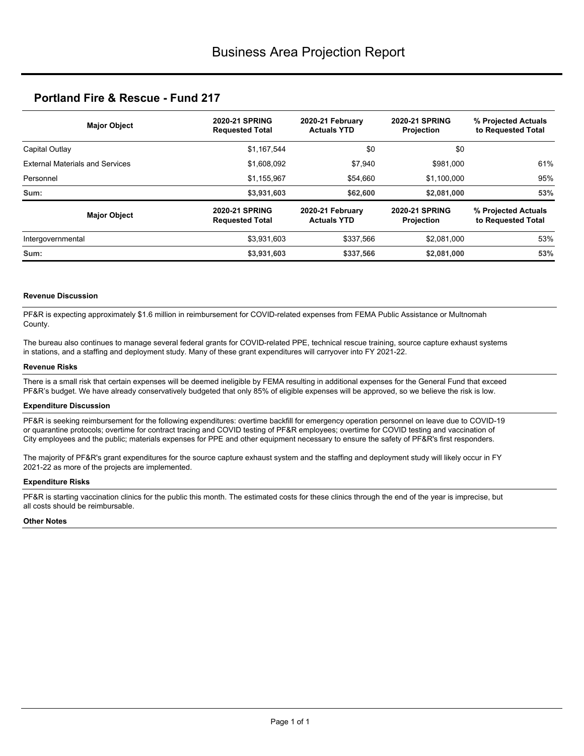## **Portland Fire & Rescue - Fund 217**

| <b>Major Object</b>                    | <b>2020-21 SPRING</b><br><b>Requested Total</b> | 2020-21 February<br><b>Actuals YTD</b>                                               |             | % Projected Actuals<br>to Requested Total |  |
|----------------------------------------|-------------------------------------------------|--------------------------------------------------------------------------------------|-------------|-------------------------------------------|--|
| Capital Outlay                         | \$1,167,544                                     | \$0                                                                                  | \$0         |                                           |  |
| <b>External Materials and Services</b> | \$1,608,092                                     | \$7,940                                                                              | \$981,000   | 61%                                       |  |
| Personnel                              | \$1,155,967                                     | \$54,660                                                                             | \$1,100,000 | 95%                                       |  |
| Sum:                                   | \$3,931,603                                     | \$62,600                                                                             | \$2,081,000 | 53%                                       |  |
| <b>Major Object</b>                    | <b>2020-21 SPRING</b><br><b>Requested Total</b> | <b>2020-21 SPRING</b><br>2020-21 February<br><b>Actuals YTD</b><br><b>Projection</b> |             | % Projected Actuals<br>to Requested Total |  |
| Intergovernmental                      | \$3,931,603                                     | \$337.566                                                                            | \$2.081.000 | 53%                                       |  |
| Sum:                                   | \$3,931,603                                     | \$337,566                                                                            | \$2,081,000 | 53%                                       |  |

#### **Revenue Discussion**

PF&R is expecting approximately \$1.6 million in reimbursement for COVID-related expenses from FEMA Public Assistance or Multnomah County.

The bureau also continues to manage several federal grants for COVID-related PPE, technical rescue training, source capture exhaust systems in stations, and a staffing and deployment study. Many of these grant expenditures will carryover into FY 2021-22.

#### **Revenue Risks**

There is a small risk that certain expenses will be deemed ineligible by FEMA resulting in additional expenses for the General Fund that exceed PF&R's budget. We have already conservatively budgeted that only 85% of eligible expenses will be approved, so we believe the risk is low.

#### **Expenditure Discussion**

PF&R is seeking reimbursement for the following expenditures: overtime backfill for emergency operation personnel on leave due to COVID-19 or quarantine protocols; overtime for contract tracing and COVID testing of PF&R employees; overtime for COVID testing and vaccination of City employees and the public; materials expenses for PPE and other equipment necessary to ensure the safety of PF&R's first responders.

The majority of PF&R's grant expenditures for the source capture exhaust system and the staffing and deployment study will likely occur in FY 2021-22 as more of the projects are implemented.

#### **Expenditure Risks**

PF&R is starting vaccination clinics for the public this month. The estimated costs for these clinics through the end of the year is imprecise, but all costs should be reimbursable.

#### **Other Notes**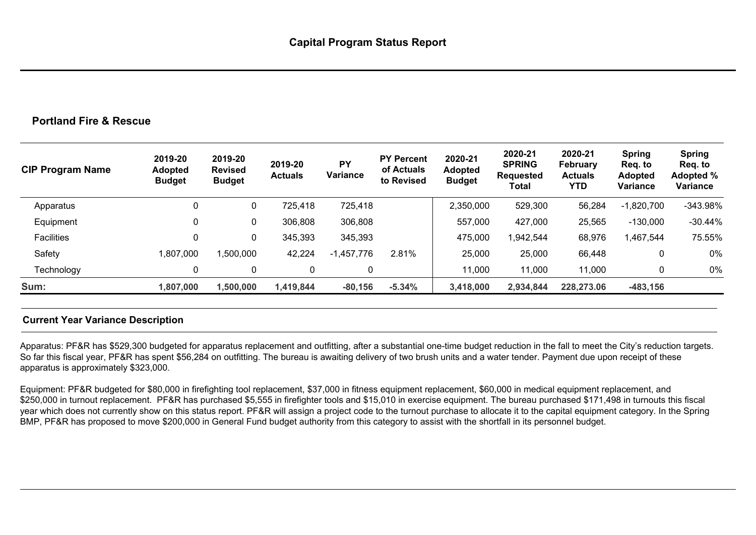## **Portland Fire & Rescue**

| <b>CIP Program Name</b> | 2019-20<br><b>Adopted</b><br><b>Budget</b> | 2019-20<br><b>Revised</b><br><b>Budget</b> | 2019-20<br><b>Actuals</b> | <b>PY</b><br>Variance | <b>PY Percent</b><br>of Actuals<br>to Revised | 2020-21<br><b>Adopted</b><br><b>Budget</b> | 2020-21<br><b>SPRING</b><br><b>Requested</b><br>Total | 2020-21<br><b>February</b><br><b>Actuals</b><br>YTD | <b>Spring</b><br>Reg. to<br><b>Adopted</b><br>Variance | <b>Spring</b><br>Reg. to<br>Adopted %<br>Variance |
|-------------------------|--------------------------------------------|--------------------------------------------|---------------------------|-----------------------|-----------------------------------------------|--------------------------------------------|-------------------------------------------------------|-----------------------------------------------------|--------------------------------------------------------|---------------------------------------------------|
| Apparatus               | 0                                          | $\mathbf{0}$                               | 725,418                   | 725,418               |                                               | 2,350,000                                  | 529,300                                               | 56,284                                              | $-1,820,700$                                           | $-343.98%$                                        |
| Equipment               | 0                                          | 0                                          | 306,808                   | 306,808               |                                               | 557,000                                    | 427,000                                               | 25,565                                              | $-130,000$                                             | $-30.44%$                                         |
| <b>Facilities</b>       | 0                                          | $\mathbf 0$                                | 345,393                   | 345,393               |                                               | 475,000                                    | 1,942,544                                             | 68,976                                              | ,467,544                                               | 75.55%                                            |
| Safety                  | 1,807,000                                  | ,500,000                                   | 42,224                    | $-1,457,776$          | 2.81%                                         | 25,000                                     | 25,000                                                | 66,448                                              | 0                                                      | 0%                                                |
| Technology              | 0                                          | 0                                          | 0                         | 0                     |                                               | 11,000                                     | 11,000                                                | 11,000                                              | 0                                                      | $0\%$                                             |
| Sum:                    | 1,807,000                                  | 1,500,000                                  | 1,419,844                 | $-80,156$             | $-5.34%$                                      | 3,418,000                                  | 2,934,844                                             | 228,273.06                                          | $-483, 156$                                            |                                                   |

## **Current Year Variance Description**

Apparatus: PF&R has \$529,300 budgeted for apparatus replacement and outfitting, after a substantial one-time budget reduction in the fall to meet the City's reduction targets. So far this fiscal year, PF&R has spent \$56,284 on outfitting. The bureau is awaiting delivery of two brush units and a water tender. Payment due upon receipt of these apparatus is approximately \$323,000.

Equipment: PF&R budgeted for \$80,000 in firefighting tool replacement, \$37,000 in fitness equipment replacement, \$60,000 in medical equipment replacement, and \$250,000 in turnout replacement. PF&R has purchased \$5,555 in firefighter tools and \$15,010 in exercise equipment. The bureau purchased \$171,498 in turnouts this fiscal year which does not currently show on this status report. PF&R will assign a project code to the turnout purchase to allocate it to the capital equipment category. In the Spring BMP, PF&R has proposed to move \$200,000 in General Fund budget authority from this category to assist with the shortfall in its personnel budget.